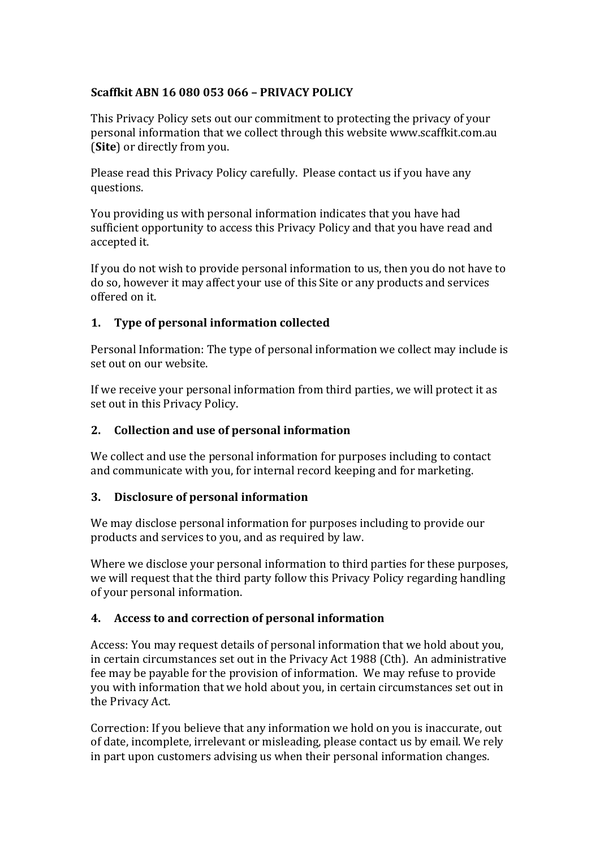# **Scaffkit ABN 16 080 053 066 – PRIVACY POLICY**

This Privacy Policy sets out our commitment to protecting the privacy of your personal information that we collect through this website www.scaffkit.com.au **(Site)** or directly from you.

Please read this Privacy Policy carefully. Please contact us if you have any questions.

You providing us with personal information indicates that you have had sufficient opportunity to access this Privacy Policy and that you have read and accepted it.

If you do not wish to provide personal information to us, then you do not have to do so, however it may affect your use of this Site or any products and services offered on it.

## **1. Type of personal information collected**

Personal Information: The type of personal information we collect may include is set out on our website.

If we receive your personal information from third parties, we will protect it as set out in this Privacy Policy.

# **2. Collection and use of personal information**

We collect and use the personal information for purposes including to contact and communicate with you, for internal record keeping and for marketing.

## **3. Disclosure of personal information**

We may disclose personal information for purposes including to provide our products and services to you, and as required by law.

Where we disclose your personal information to third parties for these purposes, we will request that the third party follow this Privacy Policy regarding handling of your personal information.

## **4. Access to and correction of personal information**

Access: You may request details of personal information that we hold about you, in certain circumstances set out in the Privacy Act 1988 (Cth). An administrative fee may be payable for the provision of information. We may refuse to provide you with information that we hold about you, in certain circumstances set out in the Privacy Act.

Correction: If you believe that any information we hold on you is inaccurate, out of date, incomplete, irrelevant or misleading, please contact us by email. We rely in part upon customers advising us when their personal information changes.